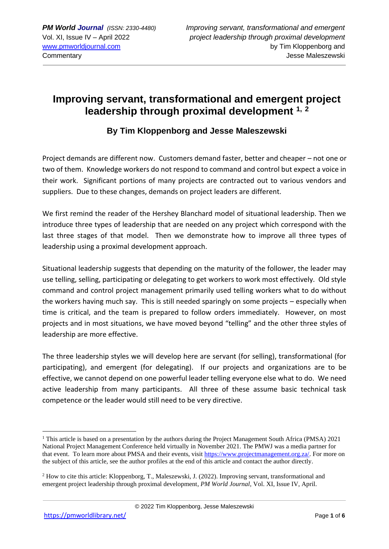# **Improving servant, transformational and emergent project leadership through proximal development 1, <sup>2</sup>**

### **By Tim Kloppenborg and Jesse Maleszewski**

Project demands are different now. Customers demand faster, better and cheaper – not one or two of them. Knowledge workers do not respond to command and control but expect a voice in their work. Significant portions of many projects are contracted out to various vendors and suppliers. Due to these changes, demands on project leaders are different.

We first remind the reader of the Hershey Blanchard model of situational leadership. Then we introduce three types of leadership that are needed on any project which correspond with the last three stages of that model. Then we demonstrate how to improve all three types of leadership using a proximal development approach.

Situational leadership suggests that depending on the maturity of the follower, the leader may use telling, selling, participating or delegating to get workers to work most effectively. Old style command and control project management primarily used telling workers what to do without the workers having much say. This is still needed sparingly on some projects – especially when time is critical, and the team is prepared to follow orders immediately. However, on most projects and in most situations, we have moved beyond "telling" and the other three styles of leadership are more effective.

The three leadership styles we will develop here are servant (for selling), transformational (for participating), and emergent (for delegating). If our projects and organizations are to be effective, we cannot depend on one powerful leader telling everyone else what to do. We need active leadership from many participants. All three of these assume basic technical task competence or the leader would still need to be very directive.

<sup>&</sup>lt;sup>1</sup> This article is based on a presentation by the authors during the Project Management South Africa (PMSA) 2021 National Project Management Conference held virtually in November 2021. The PMWJ was a media partner for that event. To learn more about PMSA and their events, visit [https://www.projectmanagement.org.za/.](https://www.projectmanagement.org.za/) For more on the subject of this article, see the author profiles at the end of this article and contact the author directly.

<sup>2</sup> How to cite this article: Kloppenborg, T., Maleszewski, J. (2022). Improving servant, transformational and emergent project leadership through proximal development, *PM World Journal*, Vol. XI, Issue IV, April.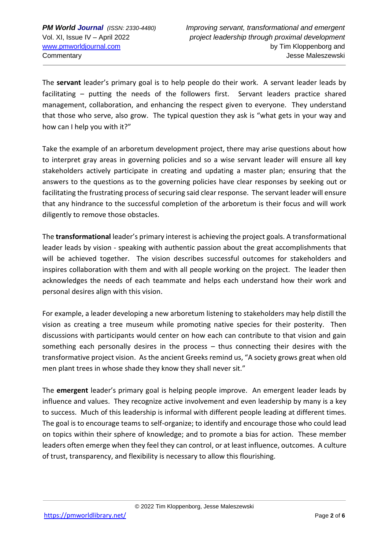The **servant** leader's primary goal is to help people do their work. A servant leader leads by facilitating – putting the needs of the followers first. Servant leaders practice shared management, collaboration, and enhancing the respect given to everyone. They understand that those who serve, also grow. The typical question they ask is "what gets in your way and how can I help you with it?"

Take the example of an arboretum development project, there may arise questions about how to interpret gray areas in governing policies and so a wise servant leader will ensure all key stakeholders actively participate in creating and updating a master plan; ensuring that the answers to the questions as to the governing policies have clear responses by seeking out or facilitating the frustrating process of securing said clear response. The servant leader will ensure that any hindrance to the successful completion of the arboretum is their focus and will work diligently to remove those obstacles.

The **transformational** leader's primary interest is achieving the project goals. A transformational leader leads by vision - speaking with authentic passion about the great accomplishments that will be achieved together. The vision describes successful outcomes for stakeholders and inspires collaboration with them and with all people working on the project. The leader then acknowledges the needs of each teammate and helps each understand how their work and personal desires align with this vision.

For example, a leader developing a new arboretum listening to stakeholders may help distill the vision as creating a tree museum while promoting native species for their posterity. Then discussions with participants would center on how each can contribute to that vision and gain something each personally desires in the process – thus connecting their desires with the transformative project vision. As the ancient Greeks remind us, "A society grows great when old men plant trees in whose shade they know they shall never sit."

The **emergent** leader's primary goal is helping people improve. An emergent leader leads by influence and values. They recognize active involvement and even leadership by many is a key to success. Much of this leadership is informal with different people leading at different times. The goal is to encourage teams to self-organize; to identify and encourage those who could lead on topics within their sphere of knowledge; and to promote a bias for action. These member leaders often emerge when they feel they can control, or at least influence, outcomes. A culture of trust, transparency, and flexibility is necessary to allow this flourishing.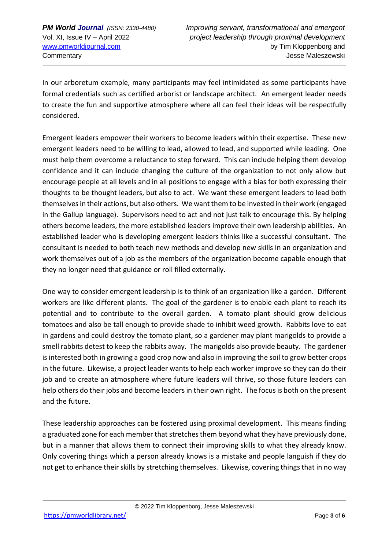In our arboretum example, many participants may feel intimidated as some participants have formal credentials such as certified arborist or landscape architect. An emergent leader needs to create the fun and supportive atmosphere where all can feel their ideas will be respectfully considered.

Emergent leaders empower their workers to become leaders within their expertise. These new emergent leaders need to be willing to lead, allowed to lead, and supported while leading. One must help them overcome a reluctance to step forward. This can include helping them develop confidence and it can include changing the culture of the organization to not only allow but encourage people at all levels and in all positions to engage with a bias for both expressing their thoughts to be thought leaders, but also to act. We want these emergent leaders to lead both themselves in their actions, but also others. We want them to be invested in their work (engaged in the Gallup language). Supervisors need to act and not just talk to encourage this. By helping others become leaders, the more established leaders improve their own leadership abilities. An established leader who is developing emergent leaders thinks like a successful consultant. The consultant is needed to both teach new methods and develop new skills in an organization and work themselves out of a job as the members of the organization become capable enough that they no longer need that guidance or roll filled externally.

One way to consider emergent leadership is to think of an organization like a garden. Different workers are like different plants. The goal of the gardener is to enable each plant to reach its potential and to contribute to the overall garden. A tomato plant should grow delicious tomatoes and also be tall enough to provide shade to inhibit weed growth. Rabbits love to eat in gardens and could destroy the tomato plant, so a gardener may plant marigolds to provide a smell rabbits detest to keep the rabbits away. The marigolds also provide beauty. The gardener is interested both in growing a good crop now and also in improving the soil to grow better crops in the future. Likewise, a project leader wants to help each worker improve so they can do their job and to create an atmosphere where future leaders will thrive, so those future leaders can help others do their jobs and become leaders in their own right. The focus is both on the present and the future.

These leadership approaches can be fostered using proximal development. This means finding a graduated zone for each member that stretches them beyond what they have previously done, but in a manner that allows them to connect their improving skills to what they already know. Only covering things which a person already knows is a mistake and people languish if they do not get to enhance their skills by stretching themselves. Likewise, covering things that in no way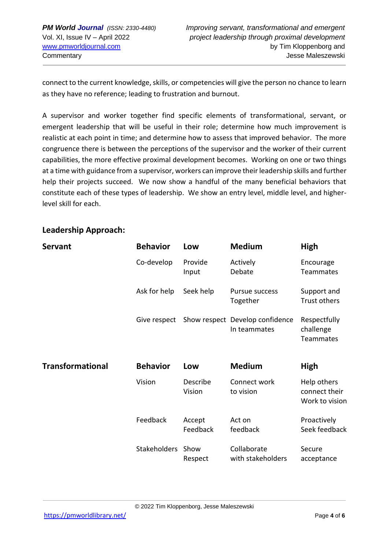connect to the current knowledge, skills, or competencies will give the person no chance to learn as they have no reference; leading to frustration and burnout.

A supervisor and worker together find specific elements of transformational, servant, or emergent leadership that will be useful in their role; determine how much improvement is realistic at each point in time; and determine how to assess that improved behavior. The more congruence there is between the perceptions of the supervisor and the worker of their current capabilities, the more effective proximal development becomes. Working on one or two things at a time with guidance from a supervisor, workers can improve their leadership skills and further help their projects succeed. We now show a handful of the many beneficial behaviors that constitute each of these types of leadership. We show an entry level, middle level, and higherlevel skill for each.

#### **Leadership Approach:**

| <b>Servant</b>          | <b>Behavior</b> | Low                | <b>Medium</b>                                   | High                                           |
|-------------------------|-----------------|--------------------|-------------------------------------------------|------------------------------------------------|
|                         | Co-develop      | Provide<br>Input   | Actively<br>Debate                              | Encourage<br><b>Teammates</b>                  |
|                         | Ask for help    | Seek help          | Pursue success<br>Together                      | Support and<br>Trust others                    |
|                         | Give respect    |                    | Show respect Develop confidence<br>In teammates | Respectfully<br>challenge<br>Teammates         |
| <b>Transformational</b> | <b>Behavior</b> | Low                | <b>Medium</b>                                   | High                                           |
|                         | Vision          | Describe<br>Vision | Connect work<br>to vision                       | Help others<br>connect their<br>Work to vision |
|                         | Feedback        | Accept<br>Feedback | Act on<br>feedback                              | Proactively<br>Seek feedback                   |
|                         | Stakeholders    | Show<br>Respect    | Collaborate<br>with stakeholders                | Secure<br>acceptance                           |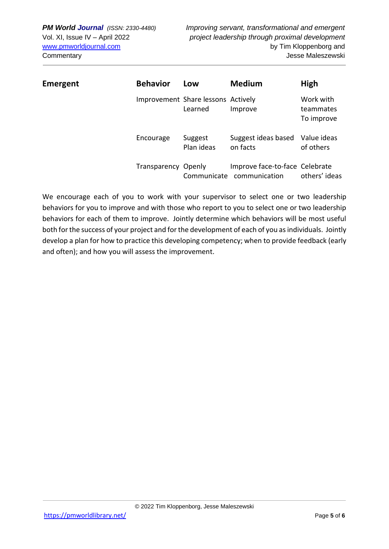| Emergent | <b>Behavior</b>            | Low                                           | <b>Medium</b>                                   | High                                 |
|----------|----------------------------|-----------------------------------------------|-------------------------------------------------|--------------------------------------|
|          |                            | Improvement Share lessons Actively<br>Learned | Improve                                         | Work with<br>teammates<br>To improve |
|          | Encourage                  | Suggest<br>Plan ideas                         | Suggest ideas based<br>on facts                 | Value ideas<br>of others             |
|          | <b>Transparency Openly</b> | Communicate                                   | Improve face-to-face Celebrate<br>communication | others' ideas                        |

We encourage each of you to work with your supervisor to select one or two leadership behaviors for you to improve and with those who report to you to select one or two leadership behaviors for each of them to improve. Jointly determine which behaviors will be most useful both for the success of your project and for the development of each of you as individuals. Jointly develop a plan for how to practice this developing competency; when to provide feedback (early and often); and how you will assess the improvement.